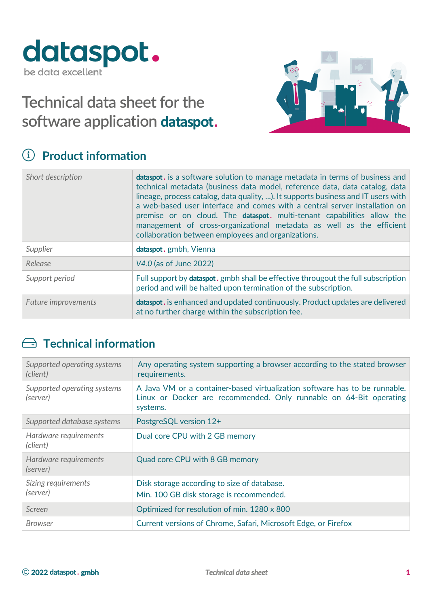

# **Technical data sheet for the software application dataspot.**



### ! **Product information**

| Short description          | <b>dataspot.</b> is a software solution to manage metadata in terms of business and<br>technical metadata (business data model, reference data, data catalog, data<br>lineage, process catalog, data quality, ). It supports business and IT users with<br>a web-based user interface and comes with a central server installation on<br>premise or on cloud. The <b>dataspot</b> . multi-tenant capabilities allow the<br>management of cross-organizational metadata as well as the efficient<br>collaboration between employees and organizations. |
|----------------------------|-------------------------------------------------------------------------------------------------------------------------------------------------------------------------------------------------------------------------------------------------------------------------------------------------------------------------------------------------------------------------------------------------------------------------------------------------------------------------------------------------------------------------------------------------------|
| Supplier                   | dataspot. gmbh, Vienna                                                                                                                                                                                                                                                                                                                                                                                                                                                                                                                                |
| Release                    | V4.0 (as of June 2022)                                                                                                                                                                                                                                                                                                                                                                                                                                                                                                                                |
| Support period             | Full support by <b>dataspot</b> . gmbh shall be effective througout the full subscription<br>period and will be halted upon termination of the subscription.                                                                                                                                                                                                                                                                                                                                                                                          |
| <b>Future improvements</b> | dataspot. is enhanced and updated continuously. Product updates are delivered<br>at no further charge within the subscription fee.                                                                                                                                                                                                                                                                                                                                                                                                                    |

#### $\implies$  **Technical information**

| Supported operating systems<br>(client) | Any operating system supporting a browser according to the stated browser<br>requirements.                                                                   |
|-----------------------------------------|--------------------------------------------------------------------------------------------------------------------------------------------------------------|
| Supported operating systems<br>(server) | A Java VM or a container-based virtualization software has to be runnable.<br>Linux or Docker are recommended. Only runnable on 64-Bit operating<br>systems. |
| Supported database systems              | PostgreSQL version 12+                                                                                                                                       |
| Hardware requirements<br>(client)       | Dual core CPU with 2 GB memory                                                                                                                               |
| Hardware requirements<br>(server)       | Quad core CPU with 8 GB memory                                                                                                                               |
| Sizing requirements<br>(server)         | Disk storage according to size of database.<br>Min. 100 GB disk storage is recommended.                                                                      |
| Screen                                  | Optimized for resolution of min. 1280 x 800                                                                                                                  |
| Browser                                 | Current versions of Chrome, Safari, Microsoft Edge, or Firefox                                                                                               |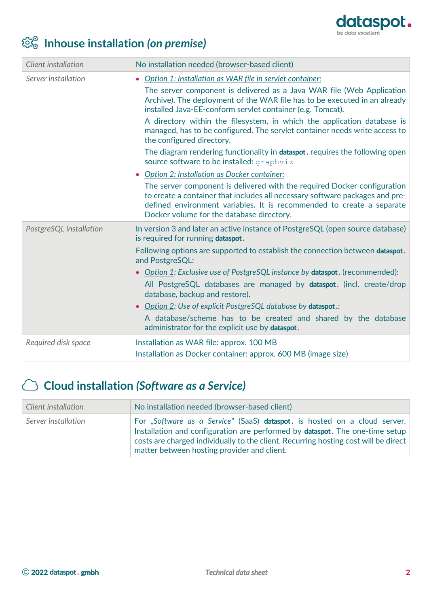

# # **Inhouse installation** *(on premise)*

| Client installation     | No installation needed (browser-based client)                                                                                                                                                                                                                                  |
|-------------------------|--------------------------------------------------------------------------------------------------------------------------------------------------------------------------------------------------------------------------------------------------------------------------------|
| Server installation     | Option 1: Installation as WAR file in servlet container:                                                                                                                                                                                                                       |
|                         | The server component is delivered as a Java WAR file (Web Application<br>Archive). The deployment of the WAR file has to be executed in an already<br>installed Java-EE-conform servlet container (e.g. Tomcat).                                                               |
|                         | A directory within the filesystem, in which the application database is<br>managed, has to be configured. The servlet container needs write access to<br>the configured directory.                                                                                             |
|                         | The diagram rendering functionality in <b>dataspot</b> . requires the following open<br>source software to be installed: graphviz                                                                                                                                              |
|                         | Option 2: Installation as Docker container:                                                                                                                                                                                                                                    |
|                         | The server component is delivered with the required Docker configuration<br>to create a container that includes all necessary software packages and pre-<br>defined environment variables. It is recommended to create a separate<br>Docker volume for the database directory. |
| PostgreSQL installation | In version 3 and later an active instance of PostgreSQL (open source database)<br>is required for running dataspot.                                                                                                                                                            |
|                         | Following options are supported to establish the connection between dataspot.<br>and PostgreSQL:                                                                                                                                                                               |
|                         | • Option 1: Exclusive use of PostgreSQL instance by dataspot. (recommended):                                                                                                                                                                                                   |
|                         | All PostgreSQL databases are managed by dataspot. (incl. create/drop<br>database, backup and restore).                                                                                                                                                                         |
|                         | • Option 2: Use of explicit PostgreSQL database by dataspot.:                                                                                                                                                                                                                  |
|                         | A database/scheme has to be created and shared by the database<br>administrator for the explicit use by dataspot.                                                                                                                                                              |
| Required disk space     | Installation as WAR file: approx. 100 MB                                                                                                                                                                                                                                       |
|                         | Installation as Docker container: approx. 600 MB (image size)                                                                                                                                                                                                                  |

#### \$ **Cloud installation** *(Software as a Service)*

| Client installation | No installation needed (browser-based client)                                                                                                                                                                                                                                                           |
|---------------------|---------------------------------------------------------------------------------------------------------------------------------------------------------------------------------------------------------------------------------------------------------------------------------------------------------|
| Server installation | For "Software as a Service" (SaaS) dataspot. is hosted on a cloud server.<br>Installation and configuration are performed by <b>dataspot</b> . The one-time setup<br>costs are charged individually to the client. Recurring hosting cost will be direct<br>matter between hosting provider and client. |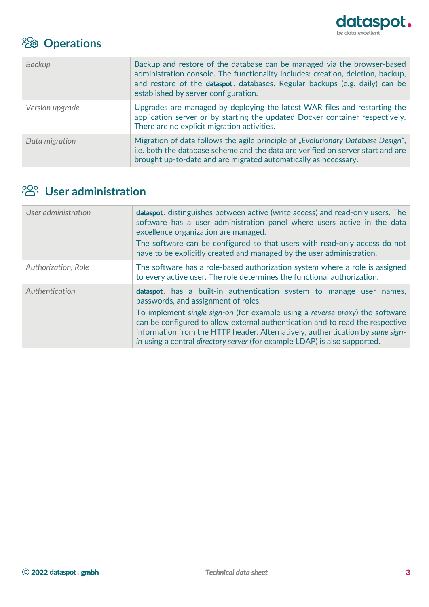

## % **Operations**

| <b>Backup</b>   | Backup and restore of the database can be managed via the browser-based<br>administration console. The functionality includes: creation, deletion, backup,<br>and restore of the dataspot. databases. Regular backups (e.g. daily) can be<br>established by server configuration. |
|-----------------|-----------------------------------------------------------------------------------------------------------------------------------------------------------------------------------------------------------------------------------------------------------------------------------|
| Version upgrade | Upgrades are managed by deploying the latest WAR files and restarting the<br>application server or by starting the updated Docker container respectively.<br>There are no explicit migration activities.                                                                          |
| Data migration  | Migration of data follows the agile principle of "Evolutionary Database Design",<br>i.e. both the database scheme and the data are verified on server start and are<br>brought up-to-date and are migrated automatically as necessary.                                            |

### <sup>202</sup> User administration

| User administration | <b>dataspot.</b> distinguishes between active (write access) and read-only users. The<br>software has a user administration panel where users active in the data<br>excellence organization are managed.<br>The software can be configured so that users with read-only access do not<br>have to be explicitly created and managed by the user administration.                                                                                    |
|---------------------|---------------------------------------------------------------------------------------------------------------------------------------------------------------------------------------------------------------------------------------------------------------------------------------------------------------------------------------------------------------------------------------------------------------------------------------------------|
| Authorization, Role | The software has a role-based authorization system where a role is assigned<br>to every active user. The role determines the functional authorization.                                                                                                                                                                                                                                                                                            |
| Authentication      | <b>dataspot.</b> has a built-in authentication system to manage user names,<br>passwords, and assignment of roles.<br>To implement single sign-on (for example using a reverse proxy) the software<br>can be configured to allow external authentication and to read the respective<br>information from the HTTP header. Alternatively, authentication by same sign-<br>in using a central directory server (for example LDAP) is also supported. |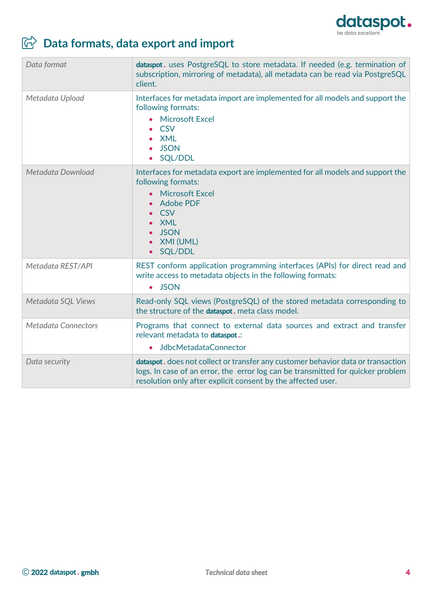

# ' **Data formats, data export and import**

| Data format                | dataspot. uses PostgreSQL to store metadata. If needed (e.g. termination of<br>subscription, mirroring of metadata), all metadata can be read via PostgreSQL<br>client.                                                             |
|----------------------------|-------------------------------------------------------------------------------------------------------------------------------------------------------------------------------------------------------------------------------------|
| Metadata Upload            | Interfaces for metadata import are implemented for all models and support the<br>following formats:<br><b>Microsoft Excel</b><br>$\bullet$<br><b>CSV</b><br><b>XML</b><br><b>JSON</b><br>SQL/DDL                                    |
| Metadata Download          | Interfaces for metadata export are implemented for all models and support the<br>following formats:<br><b>Microsoft Excel</b><br><b>Adobe PDF</b><br><b>CSV</b><br><b>XML</b><br><b>JSON</b><br>XMI (UML)<br>SQL/DDL<br>$\bullet$   |
| Metadata REST/API          | REST conform application programming interfaces (APIs) for direct read and<br>write access to metadata objects in the following formats:<br>· JSON                                                                                  |
| Metadata SQL Views         | Read-only SQL views (PostgreSQL) of the stored metadata corresponding to<br>the structure of the dataspot. meta class model.                                                                                                        |
| <b>Metadata Connectors</b> | Programs that connect to external data sources and extract and transfer<br>relevant metadata to dataspot.:<br>• JdbcMetadataConnector                                                                                               |
| Data security              | dataspot. does not collect or transfer any customer behavior data or transaction<br>logs. In case of an error, the error log can be transmitted for quicker problem<br>resolution only after explicit consent by the affected user. |